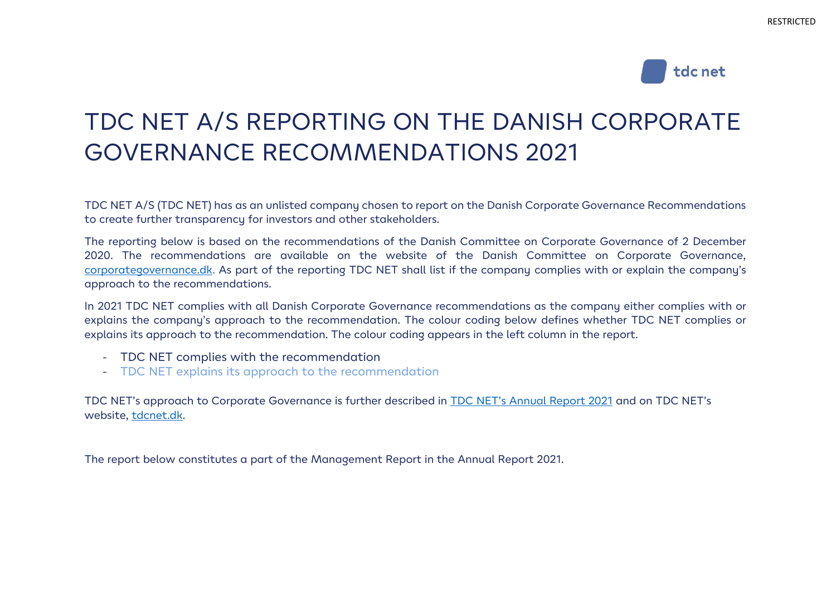

# TDC NET A/S REPORTING ON THE DANISH CORPORATE GOVERNANCE RECOMMENDATIONS 2021

TDC NET A/S (TDC NET) has as an unlisted company chosen to report on the Danish Corporate Governance Recommendations to create further transparency for investors and other stakeholders.

The reporting below is based on the recommendations of the Danish Committee on Corporate Governance of 2 December 2020. The recommendations are available on the website of the Danish Committee on Corporate Governance, [corporategovernance.dk.](https://corporategovernance.dk/) As part of the reporting TDC NET shall list if the company complies with or explain the company's approach to the recommendations.

In 2021 TDC NET complies with all Danish Corporate Governance recommendations as the company either complies with or explains the company's approach to the recommendation. The colour coding below defines whether TDC NET complies or explains its approach to the recommendation. The colour coding appears in the left column in the report.

- TDC NET complies with the recommendation
- TDC NET explains its approach to the recommendation

TDC NET's approach to Corporate Governance is further described in [TDC NET's Annual Report 2021](https://tdcnet.dk/aarsrapport/) and on TDC NET's website, [tdcnet.dk.](https://tdcnet.com/about-us/corporate-governance-1/)

The report below constitutes a part of the Management Report in the Annual Report 2021.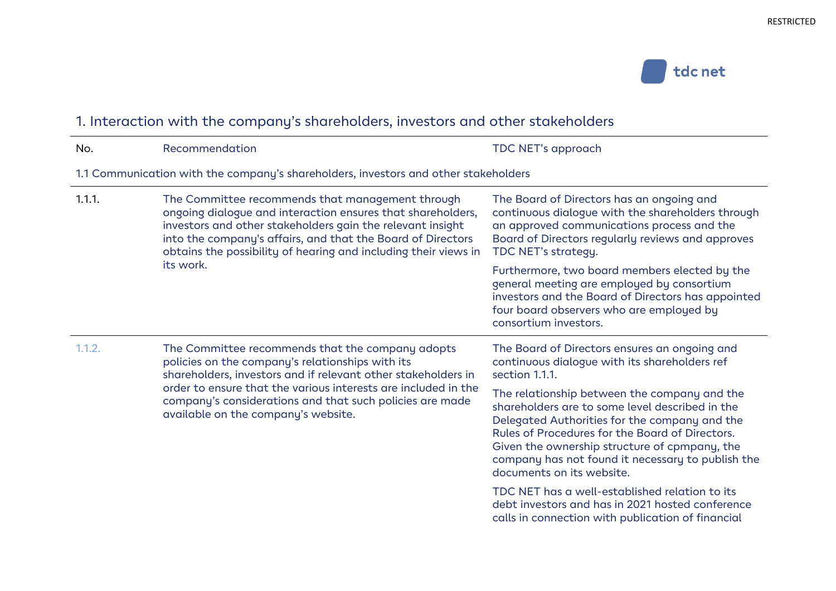

## 1. Interaction with the company's shareholders, investors and other stakeholders

| No.    | Recommendation                                                                                                                                                                                                                                                                                                                             | TDC NET's approach                                                                                                                                                                                                                                                                                                                     |
|--------|--------------------------------------------------------------------------------------------------------------------------------------------------------------------------------------------------------------------------------------------------------------------------------------------------------------------------------------------|----------------------------------------------------------------------------------------------------------------------------------------------------------------------------------------------------------------------------------------------------------------------------------------------------------------------------------------|
|        | 1.1 Communication with the company's shareholders, investors and other stakeholders                                                                                                                                                                                                                                                        |                                                                                                                                                                                                                                                                                                                                        |
| 1.1.1. | The Committee recommends that management through<br>ongoing dialogue and interaction ensures that shareholders,<br>investors and other stakeholders gain the relevant insight<br>into the company's affairs, and that the Board of Directors<br>obtains the possibility of hearing and including their views in<br>its work.               | The Board of Directors has an ongoing and<br>continuous dialogue with the shareholders through<br>an approved communications process and the<br>Board of Directors regularly reviews and approves<br>TDC NET's strategy.                                                                                                               |
|        |                                                                                                                                                                                                                                                                                                                                            | Furthermore, two board members elected by the<br>general meeting are employed by consortium<br>investors and the Board of Directors has appointed<br>four board observers who are employed by<br>consortium investors.                                                                                                                 |
| 1.1.2. | The Committee recommends that the company adopts<br>policies on the company's relationships with its<br>shareholders, investors and if relevant other stakeholders in<br>order to ensure that the various interests are included in the<br>company's considerations and that such policies are made<br>available on the company's website. | The Board of Directors ensures an ongoing and<br>continuous dialogue with its shareholders ref<br>section 1.1.1.                                                                                                                                                                                                                       |
|        |                                                                                                                                                                                                                                                                                                                                            | The relationship between the company and the<br>shareholders are to some level described in the<br>Delegated Authorities for the company and the<br>Rules of Procedures for the Board of Directors.<br>Given the ownership structure of cpmpany, the<br>company has not found it necessary to publish the<br>documents on its website. |
|        |                                                                                                                                                                                                                                                                                                                                            | TDC NET has a well-established relation to its<br>debt investors and has in 2021 hosted conference                                                                                                                                                                                                                                     |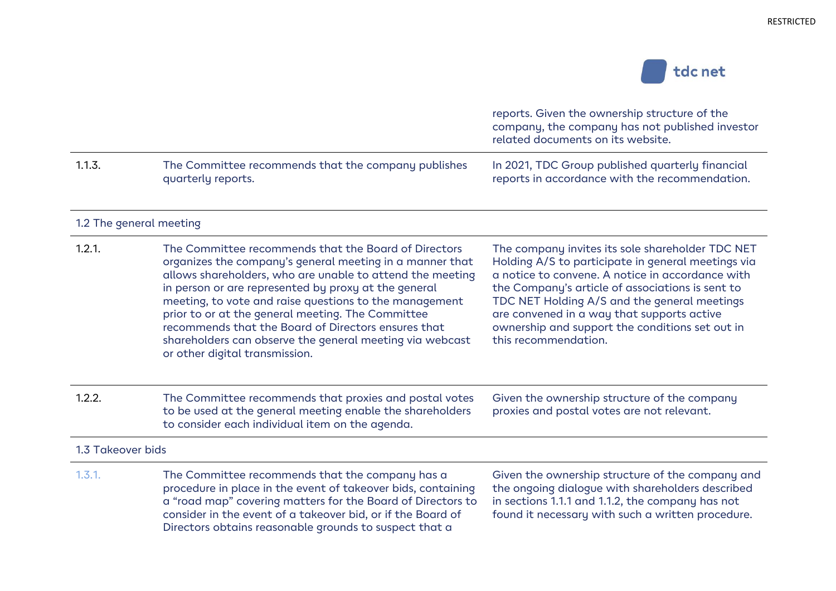

|                   |                                                                                                                                                                                                                                                                                                                                                                                                                                                                                                           | reports. Given the ownership structure of the<br>company, the company has not published investor<br>related documents on its website.                                                                                                                                                                                                                                                   |
|-------------------|-----------------------------------------------------------------------------------------------------------------------------------------------------------------------------------------------------------------------------------------------------------------------------------------------------------------------------------------------------------------------------------------------------------------------------------------------------------------------------------------------------------|-----------------------------------------------------------------------------------------------------------------------------------------------------------------------------------------------------------------------------------------------------------------------------------------------------------------------------------------------------------------------------------------|
| 1.1.3.            | The Committee recommends that the company publishes<br>quarterly reports.                                                                                                                                                                                                                                                                                                                                                                                                                                 | In 2021, TDC Group published quarterly financial<br>reports in accordance with the recommendation.                                                                                                                                                                                                                                                                                      |
|                   | 1.2 The general meeting                                                                                                                                                                                                                                                                                                                                                                                                                                                                                   |                                                                                                                                                                                                                                                                                                                                                                                         |
| 1.2.1.            | The Committee recommends that the Board of Directors<br>organizes the company's general meeting in a manner that<br>allows shareholders, who are unable to attend the meeting<br>in person or are represented by proxy at the general<br>meeting, to vote and raise questions to the management<br>prior to or at the general meeting. The Committee<br>recommends that the Board of Directors ensures that<br>shareholders can observe the general meeting via webcast<br>or other digital transmission. | The company invites its sole shareholder TDC NET<br>Holding A/S to participate in general meetings via<br>a notice to convene. A notice in accordance with<br>the Company's article of associations is sent to<br>TDC NET Holding A/S and the general meetings<br>are convened in a way that supports active<br>ownership and support the conditions set out in<br>this recommendation. |
| 1.2.2.            | The Committee recommends that proxies and postal votes<br>to be used at the general meeting enable the shareholders<br>to consider each individual item on the agenda.                                                                                                                                                                                                                                                                                                                                    | Given the ownership structure of the company<br>proxies and postal votes are not relevant.                                                                                                                                                                                                                                                                                              |
| 1.3 Takeover bids |                                                                                                                                                                                                                                                                                                                                                                                                                                                                                                           |                                                                                                                                                                                                                                                                                                                                                                                         |
| 1.3.1.            | The Committee recommends that the company has a<br>procedure in place in the event of takeover bids, containing<br>a "road map" covering matters for the Board of Directors to<br>consider in the event of a takeover bid, or if the Board of<br>Directors obtains reasonable grounds to suspect that a                                                                                                                                                                                                   | Given the ownership structure of the company and<br>the ongoing dialogue with shareholders described<br>in sections 1.1.1 and 1.1.2, the company has not<br>found it necessary with such a written procedure.                                                                                                                                                                           |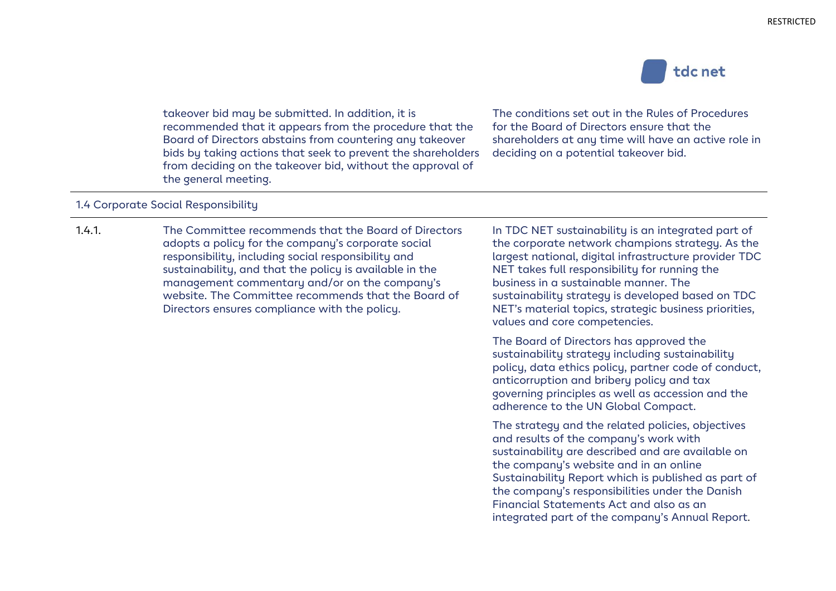

takeover bid may be submitted. In addition, it is recommended that it appears from the procedure that the Board of Directors abstains from countering any takeover bids by taking actions that seek to prevent the shareholders from deciding on the takeover bid, without the approval of the general meeting.

The conditions set out in the Rules of Procedures for the Board of Directors ensure that the shareholders at any time will have an active role in deciding on a potential takeover bid.

#### 1.4 Corporate Social Responsibility

1.4.1. The Committee recommends that the Board of Directors adopts a policy for the company's corporate social responsibility, including social responsibility and sustainability, and that the policy is available in the management commentary and/or on the company's website. The Committee recommends that the Board of Directors ensures compliance with the policy.

In TDC NET sustainability is an integrated part of the corporate network champions strategy. As the largest national, digital infrastructure provider TDC NET takes full responsibility for running the business in a sustainable manner. The sustainability strategy is developed based on TDC NET's material topics, strategic business priorities, values and core competencies.

The Board of Directors has approved the sustainability strategy including sustainability policy, data ethics policy, partner code of conduct, anticorruption and bribery policy and tax governing principles as well as accession and the adherence to the UN Global Compact.

The strategy and the related policies, objectives and results of the company's work with sustainability are described and are available on the company's website and in an online Sustainability Report which is published as part of the company's responsibilities under the Danish Financial Statements Act and also as an integrated part of the company's Annual Report.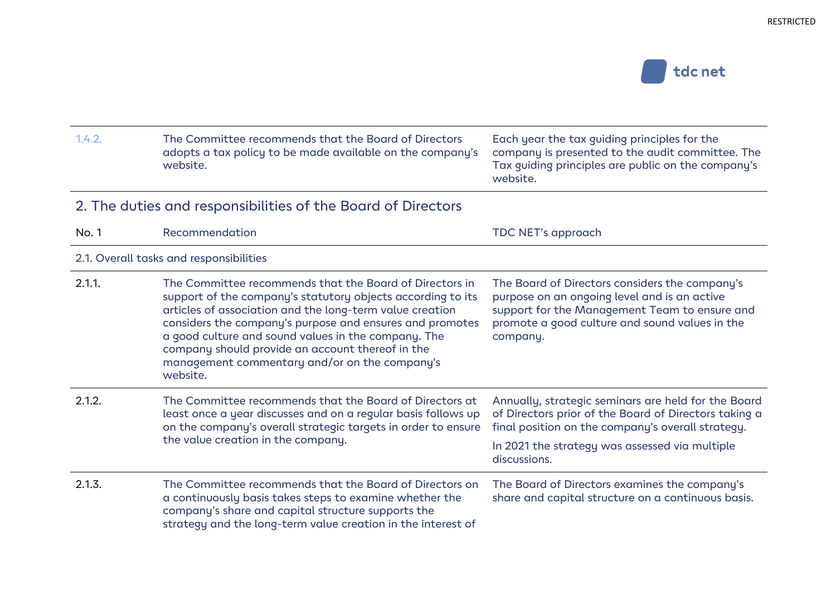

| 1.4.2. | The Committee recommends that the Board of Directors<br>adopts a tax policy to be made available on the company's<br>website.                                                                                                                                                                                                                                                                                          | Each year the tax guiding principles for the<br>company is presented to the audit committee. The<br>Tax guiding principles are public on the company's<br>website.                                                                  |
|--------|------------------------------------------------------------------------------------------------------------------------------------------------------------------------------------------------------------------------------------------------------------------------------------------------------------------------------------------------------------------------------------------------------------------------|-------------------------------------------------------------------------------------------------------------------------------------------------------------------------------------------------------------------------------------|
|        | 2. The duties and responsibilities of the Board of Directors                                                                                                                                                                                                                                                                                                                                                           |                                                                                                                                                                                                                                     |
| No. 1  | Recommendation                                                                                                                                                                                                                                                                                                                                                                                                         | TDC NET's approach                                                                                                                                                                                                                  |
|        | 2.1. Overall tasks and responsibilities                                                                                                                                                                                                                                                                                                                                                                                |                                                                                                                                                                                                                                     |
| 2.1.1. | The Committee recommends that the Board of Directors in<br>support of the company's statutory objects according to its<br>articles of association and the long-term value creation<br>considers the company's purpose and ensures and promotes<br>a good culture and sound values in the company. The<br>company should provide an account thereof in the<br>management commentary and/or on the company's<br>website. | The Board of Directors considers the company's<br>purpose on an ongoing level and is an active<br>support for the Management Team to ensure and<br>promote a good culture and sound values in the<br>company.                       |
| 2.1.2. | The Committee recommends that the Board of Directors at<br>least once a year discusses and on a regular basis follows up<br>on the company's overall strategic targets in order to ensure<br>the value creation in the company.                                                                                                                                                                                        | Annually, strategic seminars are held for the Board<br>of Directors prior of the Board of Directors taking a<br>final position on the company's overall strategy.<br>In 2021 the strategy was assessed via multiple<br>discussions. |
| 2.1.3. | The Committee recommends that the Board of Directors on<br>a continuously basis takes steps to examine whether the<br>company's share and capital structure supports the<br>strategy and the long-term value creation in the interest of                                                                                                                                                                               | The Board of Directors examines the company's<br>share and capital structure on a continuous basis.                                                                                                                                 |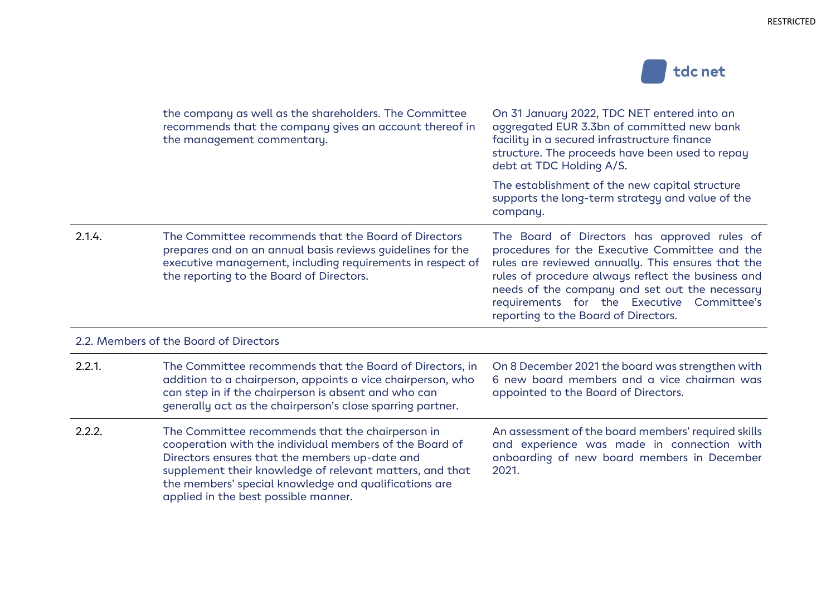

|           | the company as well as the shareholders. The Committee<br>recommends that the company gives an account thereof in<br>the management commentary.                                                                                                                                                                            | On 31 January 2022, TDC NET entered into an<br>aggregated EUR 3.3bn of committed new bank<br>facility in a secured infrastructure finance<br>structure. The proceeds have been used to repay<br>debt at TDC Holding A/S.                                                                                                                           |
|-----------|----------------------------------------------------------------------------------------------------------------------------------------------------------------------------------------------------------------------------------------------------------------------------------------------------------------------------|----------------------------------------------------------------------------------------------------------------------------------------------------------------------------------------------------------------------------------------------------------------------------------------------------------------------------------------------------|
|           |                                                                                                                                                                                                                                                                                                                            | The establishment of the new capital structure<br>supports the long-term strategy and value of the<br>company.                                                                                                                                                                                                                                     |
| 2.1.4.    | The Committee recommends that the Board of Directors<br>prepares and on an annual basis reviews guidelines for the<br>executive management, including requirements in respect of<br>the reporting to the Board of Directors.                                                                                               | The Board of Directors has approved rules of<br>procedures for the Executive Committee and the<br>rules are reviewed annually. This ensures that the<br>rules of procedure always reflect the business and<br>needs of the company and set out the necessary<br>requirements for the Executive Committee's<br>reporting to the Board of Directors. |
|           | 2.2. Members of the Board of Directors                                                                                                                                                                                                                                                                                     |                                                                                                                                                                                                                                                                                                                                                    |
| $2.2.1$ . | The Committee recommends that the Board of Directors, in<br>addition to a chairperson, appoints a vice chairperson, who<br>can step in if the chairperson is absent and who can<br>generally act as the chairperson's close sparring partner.                                                                              | On 8 December 2021 the board was strengthen with<br>6 new board members and a vice chairman was<br>appointed to the Board of Directors.                                                                                                                                                                                                            |
| 2.2.2.    | The Committee recommends that the chairperson in<br>cooperation with the individual members of the Board of<br>Directors ensures that the members up-date and<br>supplement their knowledge of relevant matters, and that<br>the members' special knowledge and qualifications are<br>applied in the best possible manner. | An assessment of the board members' required skills<br>and experience was made in connection with<br>onboarding of new board members in December<br>2021.                                                                                                                                                                                          |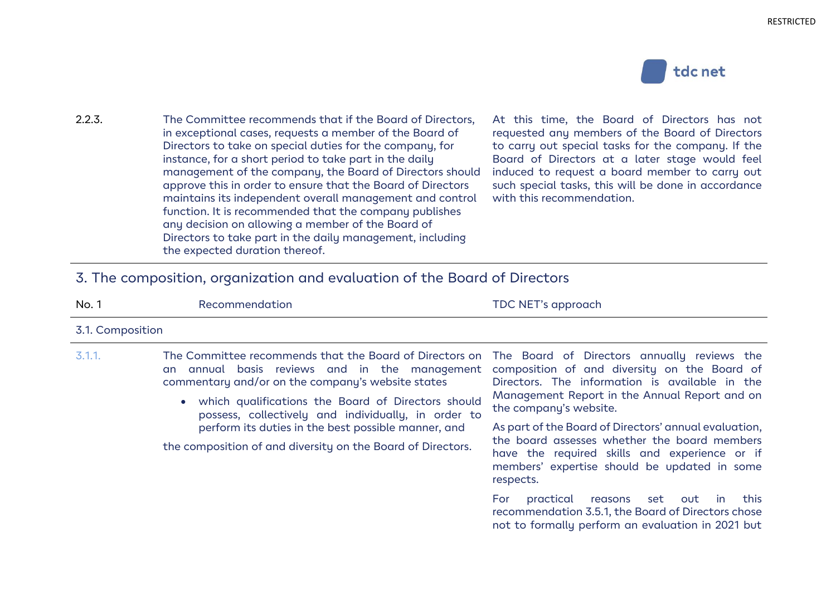

| 2.2.3. | The Committee recommends that if the Board of Directors,    | $\overline{A}$ |
|--------|-------------------------------------------------------------|----------------|
|        | in exceptional cases, requests a member of the Board of     | r.             |
|        | Directors to take on special duties for the company, for    | t              |
|        | instance, for a short period to take part in the daily      | E              |
|        | management of the company, the Board of Directors should    | -ir            |
|        | approve this in order to ensure that the Board of Directors | <sub>S</sub>   |
|        | maintains its independent overall management and control    | $\vee$         |
|        | function. It is recommended that the company publishes      |                |
|        | any decision on allowing a member of the Board of           |                |
|        | Directors to take part in the daily management, including   |                |
|        | the expected duration thereof.                              |                |

At this time, the Board of Directors has not requested any members of the Board of Directors to carry out special tasks for the company. If the Board of Directors at a later stage would feel nduced to request a board member to carry out such special tasks, this will be done in accordance with this recommendation.

#### 3. The composition, organization and evaluation of the Board of Directors

the composition of and diversity on the Board of Directors.

| No. 1            | Recommendation                                                                                                                                                                                                                                                                                                                                                                                                               | TDC NET's approach                                                                                                                                                                 |
|------------------|------------------------------------------------------------------------------------------------------------------------------------------------------------------------------------------------------------------------------------------------------------------------------------------------------------------------------------------------------------------------------------------------------------------------------|------------------------------------------------------------------------------------------------------------------------------------------------------------------------------------|
| 3.1. Composition |                                                                                                                                                                                                                                                                                                                                                                                                                              |                                                                                                                                                                                    |
| 3.1.1.           | The Committee recommends that the Board of Directors on The Board of Directors annually reviews the<br>an annual basis reviews and in the management composition of and diversity on the Board of<br>commentary and/or on the company's website states<br>• which qualifications the Board of Directors should<br>possess, collectively and individually, in order to<br>perform its duties in the best possible manner, and | Directors. The information is available in the<br>Management Report in the Annual Report and on<br>the company's website.<br>As part of the Board of Directors' annual evaluation, |

As part of the Board of Directors' annual evaluation, the board assesses whether the board members have the required skills and experience or if members' expertise should be updated in some respects.

For practical reasons set out in this recommendation 3.5.1, the Board of Directors chose not to formally perform an evaluation in 2021 but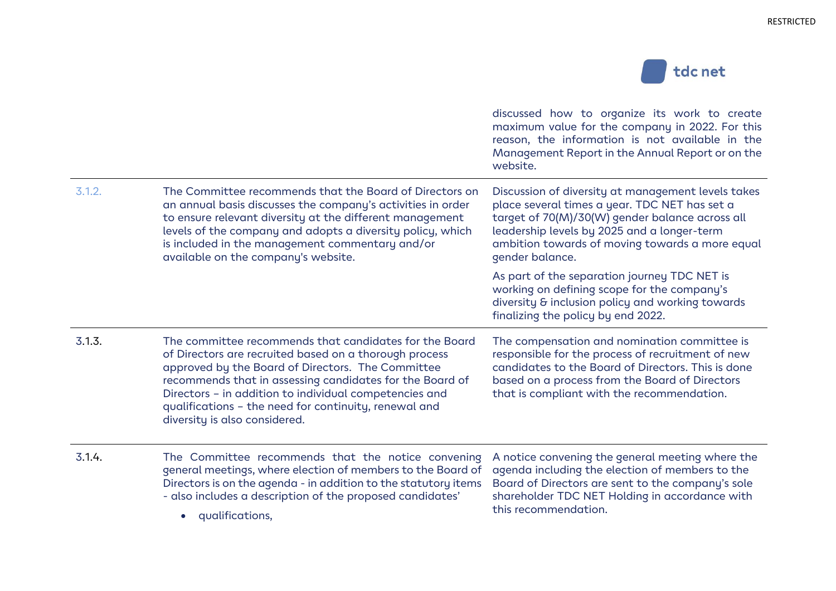

|        |                                                                                                                                                                                                                                                                                                                                                                                       | discussed how to organize its work to create<br>maximum value for the company in 2022. For this<br>reason, the information is not available in the<br>Management Report in the Annual Report or on the<br>website.                                                          |
|--------|---------------------------------------------------------------------------------------------------------------------------------------------------------------------------------------------------------------------------------------------------------------------------------------------------------------------------------------------------------------------------------------|-----------------------------------------------------------------------------------------------------------------------------------------------------------------------------------------------------------------------------------------------------------------------------|
| 3.1.2. | The Committee recommends that the Board of Directors on<br>an annual basis discusses the company's activities in order<br>to ensure relevant diversity at the different management<br>levels of the company and adopts a diversity policy, which<br>is included in the management commentary and/or<br>available on the company's website.                                            | Discussion of diversity at management levels takes<br>place several times a year. TDC NET has set a<br>target of 70(M)/30(W) gender balance across all<br>leadership levels by 2025 and a longer-term<br>ambition towards of moving towards a more equal<br>gender balance. |
|        |                                                                                                                                                                                                                                                                                                                                                                                       | As part of the separation journey TDC NET is<br>working on defining scope for the company's<br>diversity & inclusion policy and working towards<br>finalizing the policy by end 2022.                                                                                       |
| 3.1.3. | The committee recommends that candidates for the Board<br>of Directors are recruited based on a thorough process<br>approved by the Board of Directors. The Committee<br>recommends that in assessing candidates for the Board of<br>Directors - in addition to individual competencies and<br>qualifications - the need for continuity, renewal and<br>diversity is also considered. | The compensation and nomination committee is<br>responsible for the process of recruitment of new<br>candidates to the Board of Directors. This is done<br>based on a process from the Board of Directors<br>that is compliant with the recommendation.                     |
| 3.1.4. | The Committee recommends that the notice convening<br>general meetings, where election of members to the Board of<br>Directors is on the agenda - in addition to the statutory items<br>- also includes a description of the proposed candidates'<br>qualifications,<br>$\bullet$                                                                                                     | A notice convening the general meeting where the<br>agenda including the election of members to the<br>Board of Directors are sent to the company's sole<br>shareholder TDC NET Holding in accordance with<br>this recommendation.                                          |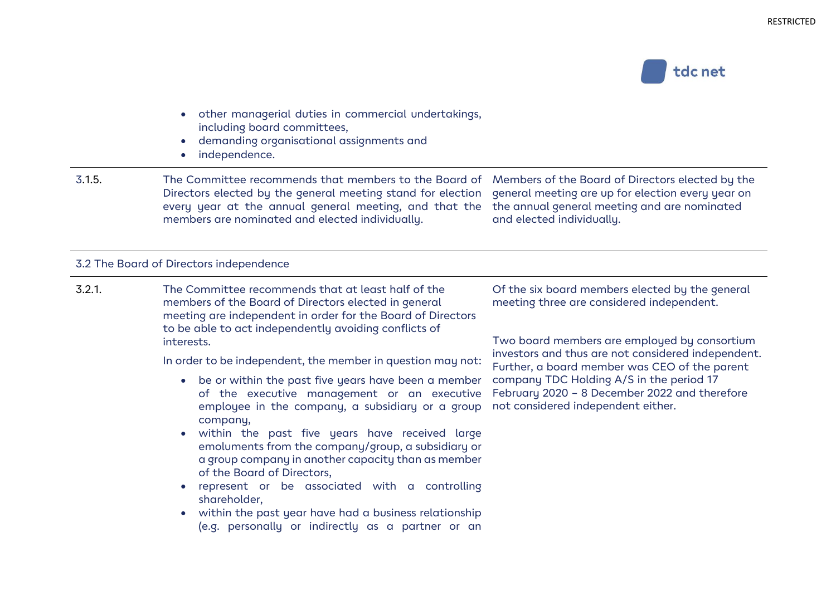

- other managerial duties in commercial undertakings, including board committees,
- demanding organisational assignments and
- independence.

3.1.5. The Committee recommends that members to the Board of Members of the Board of Directors elected by the Directors elected by the general meeting stand for election general meeting are up for election every year on every year at the annual general meeting, and that the the annual general meeting and are nominated members are nominated and elected individually. and elected individually.

#### 3.2 The Board of Directors independence

3.2.1. The Committee recommends that at least half of the members of the Board of Directors elected in general meeting are independent in order for the Board of Directors to be able to act independently avoiding conflicts of interests.

In order to be independent, the member in question may not:

- be or within the past five years have been a member of the executive management or an executive employee in the company, a subsidiary or a group company,
- within the past five years have received large emoluments from the company/group, a subsidiary or a group company in another capacity than as member of the Board of Directors,
- represent or be associated with a controlling shareholder,
- within the past year have had a business relationship (e.g. personally or indirectly as a partner or an

Of the six board members elected by the general meeting three are considered independent.

Two board members are employed by consortium investors and thus are not considered independent. Further, a board member was CEO of the parent company TDC Holding A/S in the period 17 February 2020 – 8 December 2022 and therefore not considered independent either.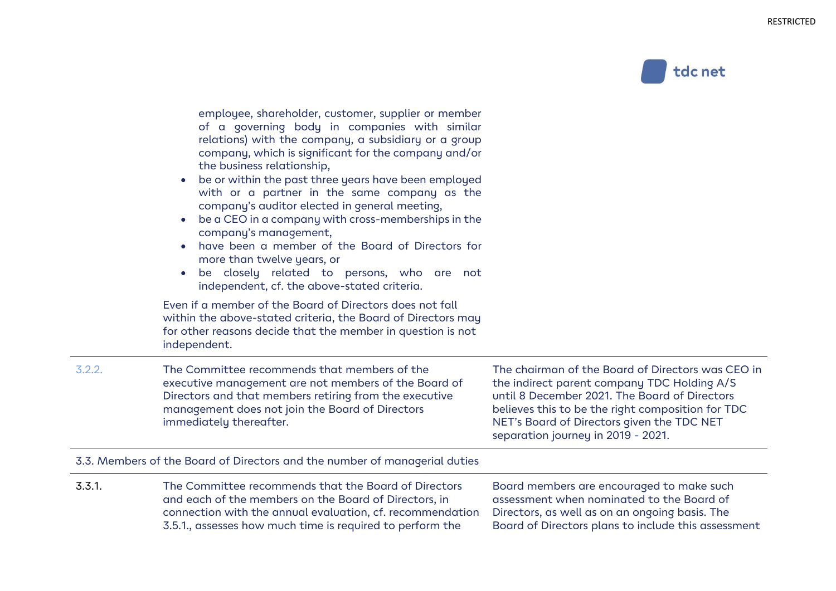

employee, shareholder, customer, supplier or member of a governing body in companies with similar relations) with the company, a subsidiary or a group company, which is significant for the company and/or the business relationship,

- be or within the past three years have been employed with or a partner in the same company as the company's auditor elected in general meeting,
- be a CEO in a company with cross-memberships in the company's management,
- have been a member of the Board of Directors for more than twelve years, or
- be closely related to persons, who are not independent, cf. the above-stated criteria.

Even if a member of the Board of Directors does not fall within the above-stated criteria, the Board of Directors may for other reasons decide that the member in question is not independent.

3.2.2. The Committee recommends that members of the executive management are not members of the Board of Directors and that members retiring from the executive management does not join the Board of Directors immediately thereafter.

The chairman of the Board of Directors was CEO in the indirect parent company TDC Holding A/S until 8 December 2021. The Board of Directors believes this to be the right composition for TDC NET's Board of Directors given the TDC NET separation journey in 2019 - 2021.

#### 3.3. Members of the Board of Directors and the number of managerial duties

3.3.1. The Committee recommends that the Board of Directors and each of the members on the Board of Directors, in connection with the annual evaluation, cf. recommendation 3.5.1., assesses how much time is required to perform the Board members are encouraged to make such assessment when nominated to the Board of Directors, as well as on an ongoing basis. The Board of Directors plans to include this assessment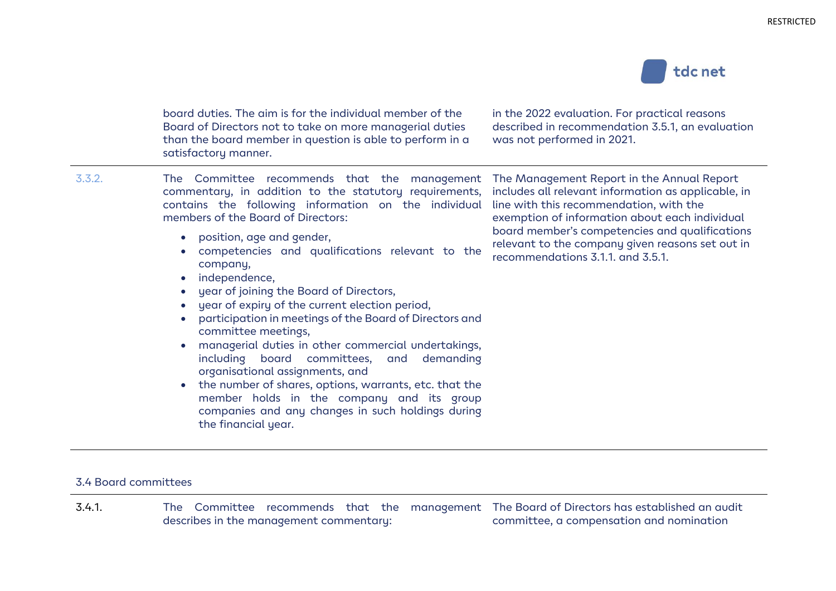

board duties. The aim is for the individual member of the Board of Directors not to take on more managerial duties than the board member in question is able to perform in a satisfactory manner.

in the 2022 evaluation. For practical reasons described in recommendation 3.5.1, an evaluation was not performed in 2021.

3.3.2. The Committee recommends that the management commentary, in addition to the statutory requirements, contains the following information on the individual members of the Board of Directors:

- position, age and gender,
- competencies and qualifications relevant to the company,
- independence,
- year of joining the Board of Directors,
- year of expiry of the current election period,
- participation in meetings of the Board of Directors and committee meetings,
- managerial duties in other commercial undertakings, including board committees, and demanding organisational assignments, and
- the number of shares, options, warrants, etc. that the member holds in the company and its group companies and any changes in such holdings during the financial year.

The Management Report in the Annual Report includes all relevant information as applicable, in line with this recommendation, with the exemption of information about each individual board member's competencies and qualifications relevant to the company given reasons set out in recommendations 3.1.1. and 3.5.1.

#### 3.4 Board committees

3.4.1. The Committee recommends that the management The Board of Directors has established an audit describes in the management commentary: committee, a compensation and nomination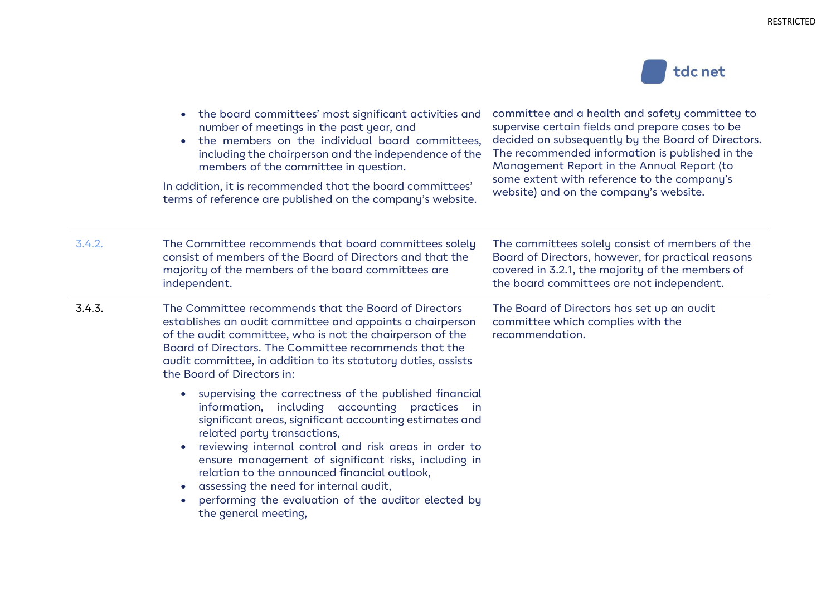

|        | the board committees' most significant activities and<br>$\bullet$<br>number of meetings in the past year, and<br>the members on the individual board committees,<br>$\bullet$<br>including the chairperson and the independence of the<br>members of the committee in question.<br>In addition, it is recommended that the board committees'<br>terms of reference are published on the company's website.                                                                                                                                      | committee and a health and safety committee to<br>supervise certain fields and prepare cases to be<br>decided on subsequently by the Board of Directors.<br>The recommended information is published in the<br>Management Report in the Annual Report (to<br>some extent with reference to the company's<br>website) and on the company's website. |
|--------|--------------------------------------------------------------------------------------------------------------------------------------------------------------------------------------------------------------------------------------------------------------------------------------------------------------------------------------------------------------------------------------------------------------------------------------------------------------------------------------------------------------------------------------------------|----------------------------------------------------------------------------------------------------------------------------------------------------------------------------------------------------------------------------------------------------------------------------------------------------------------------------------------------------|
| 3.4.2. | The Committee recommends that board committees solely<br>consist of members of the Board of Directors and that the<br>majority of the members of the board committees are<br>independent.                                                                                                                                                                                                                                                                                                                                                        | The committees solely consist of members of the<br>Board of Directors, however, for practical reasons<br>covered in 3.2.1, the majority of the members of<br>the board committees are not independent.                                                                                                                                             |
| 3.4.3. | The Committee recommends that the Board of Directors<br>establishes an audit committee and appoints a chairperson<br>of the audit committee, who is not the chairperson of the<br>Board of Directors. The Committee recommends that the<br>audit committee, in addition to its statutory duties, assists<br>the Board of Directors in:                                                                                                                                                                                                           | The Board of Directors has set up an audit<br>committee which complies with the<br>recommendation.                                                                                                                                                                                                                                                 |
|        | supervising the correctness of the published financial<br>$\bullet$<br>information, including accounting practices in<br>significant areas, significant accounting estimates and<br>related party transactions,<br>reviewing internal control and risk areas in order to<br>$\bullet$<br>ensure management of significant risks, including in<br>relation to the announced financial outlook,<br>assessing the need for internal audit,<br>$\bullet$<br>performing the evaluation of the auditor elected by<br>$\bullet$<br>the general meeting, |                                                                                                                                                                                                                                                                                                                                                    |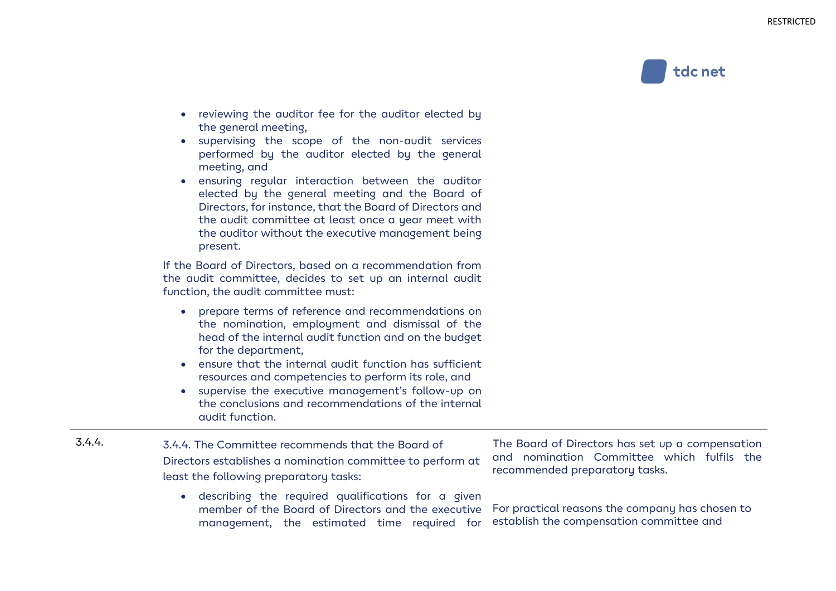

- reviewing the auditor fee for the auditor elected by the general meeting,
- supervising the scope of the non-audit services performed by the auditor elected by the general meeting, and
- ensuring regular interaction between the auditor elected by the general meeting and the Board of Directors, for instance, that the Board of Directors and the audit committee at least once a year meet with the auditor without the executive management being present.

If the Board of Directors, based on a recommendation from the audit committee, decides to set up an internal audit function, the audit committee must:

- prepare terms of reference and recommendations on the nomination, employment and dismissal of the head of the internal audit function and on the budget for the department,
- ensure that the internal audit function has sufficient resources and competencies to perform its role, and
- supervise the executive management's follow-up on the conclusions and recommendations of the internal audit function.
- 3.4.4. 3.4.4. The Committee recommends that the Board of Directors establishes a nomination committee to perform at least the following preparatory tasks:
	- describing the required qualifications for a given member of the Board of Directors and the executive management, the estimated time required for establish the compensation committee and

The Board of Directors has set up a compensation and nomination Committee which fulfils the recommended preparatory tasks.

For practical reasons the company has chosen to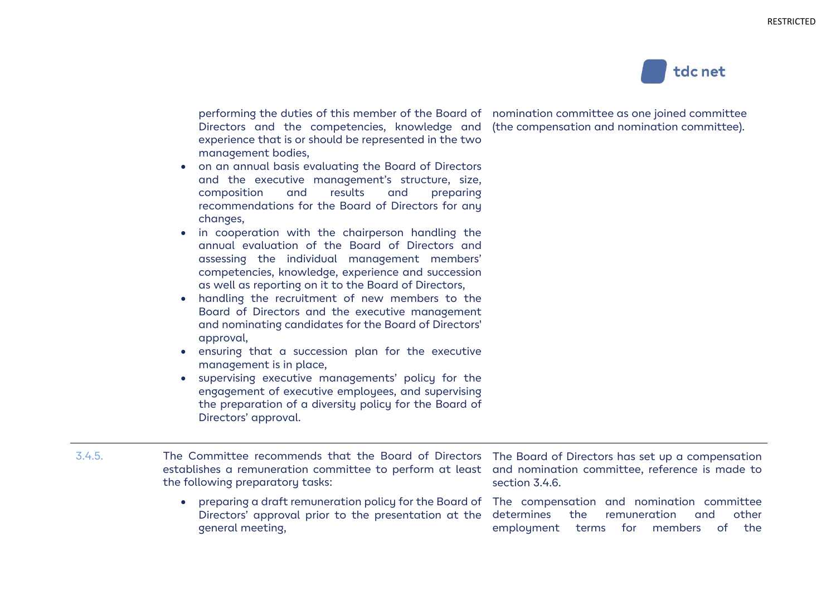

performing the duties of this member of the Board of nomination committee as one joined committee Directors and the competencies, knowledge and (the compensation and nomination committee). experience that is or should be represented in the two management bodies,

- on an annual basis evaluating the Board of Directors and the executive management's structure, size, composition and results and preparing recommendations for the Board of Directors for any changes,
- in cooperation with the chairperson handling the annual evaluation of the Board of Directors and assessing the individual management members' competencies, knowledge, experience and succession as well as reporting on it to the Board of Directors,
- handling the recruitment of new members to the Board of Directors and the executive management and nominating candidates for the Board of Directors' approval,
- ensuring that a succession plan for the executive management is in place,
- supervising executive managements' policy for the engagement of executive employees, and supervising the preparation of a diversity policy for the Board of Directors' approval.

- 3.4.5. The Committee recommends that the Board of Directors The Board of Directors has set up a compensation establishes a remuneration committee to perform at least and nomination committee, reference is made to the following preparatory tasks:
	- preparing a draft remuneration policy for the Board of The compensation and nomination committee Directors' approval prior to the presentation at the determines the remuneration and other general meeting,

section 3.4.6.

employment terms for members of the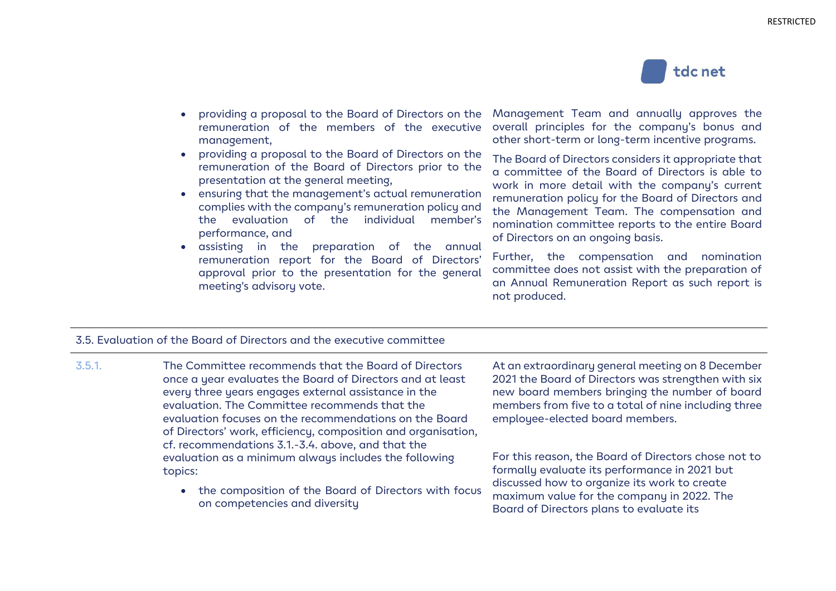

- providing a proposal to the Board of Directors on the remuneration of the members of the executive management,
- providing a proposal to the Board of Directors on the remuneration of the Board of Directors prior to the presentation at the general meeting,
- ensuring that the management's actual remuneration complies with the company's remuneration policy and the evaluation of the individual member's performance, and
- assisting in the preparation of the annual remuneration report for the Board of Directors' approval prior to the presentation for the general meeting's advisory vote.

Management Team and annually approves the overall principles for the company's bonus and other short-term or long-term incentive programs.

The Board of Directors considers it appropriate that a committee of the Board of Directors is able to work in more detail with the company's current remuneration policy for the Board of Directors and the Management Team. The compensation and nomination committee reports to the entire Board of Directors on an ongoing basis.

Further, the compensation and nomination committee does not assist with the preparation of an Annual Remuneration Report as such report is not produced.

#### 3.5. Evaluation of the Board of Directors and the executive committee

- 3.5.1. The Committee recommends that the Board of Directors once a year evaluates the Board of Directors and at least every three years engages external assistance in the evaluation. The Committee recommends that the evaluation focuses on the recommendations on the Board of Directors' work, efficiency, composition and organisation, cf. recommendations 3.1.-3.4. above, and that the evaluation as a minimum always includes the following topics:
	- the composition of the Board of Directors with focus on competencies and diversity

At an extraordinary general meeting on 8 December 2021 the Board of Directors was strengthen with six new board members bringing the number of board members from five to a total of nine including three employee-elected board members.

For this reason, the Board of Directors chose not to formally evaluate its performance in 2021 but discussed how to organize its work to create maximum value for the company in 2022. The Board of Directors plans to evaluate its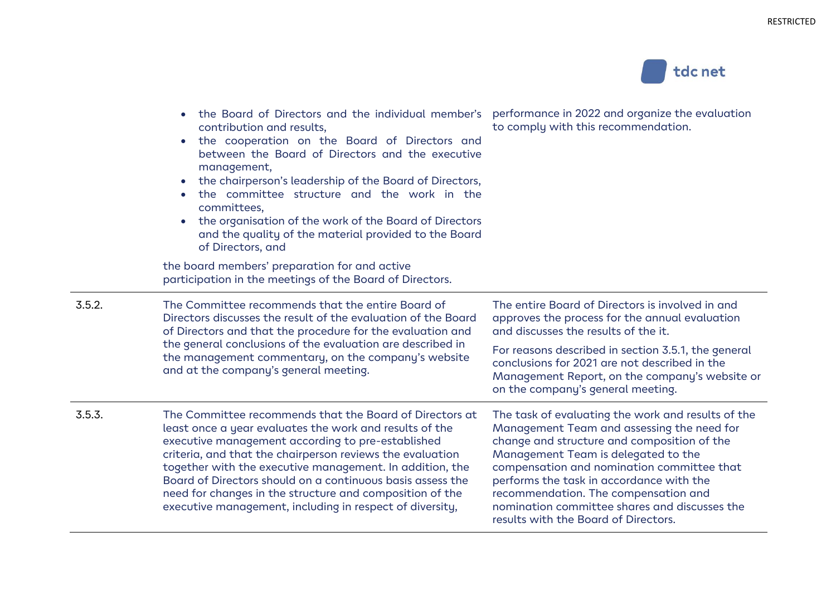

|        | the Board of Directors and the individual member's<br>$\bullet$<br>contribution and results,<br>the cooperation on the Board of Directors and<br>$\bullet$<br>between the Board of Directors and the executive<br>management,<br>the chairperson's leadership of the Board of Directors,<br>$\bullet$<br>the committee structure and the work in the<br>$\bullet$<br>committees,<br>the organisation of the work of the Board of Directors<br>$\bullet$<br>and the quality of the material provided to the Board<br>of Directors, and | performance in 2022 and organize the evaluation<br>to comply with this recommendation.                                                                                                                                                                                                                                                                                    |
|--------|---------------------------------------------------------------------------------------------------------------------------------------------------------------------------------------------------------------------------------------------------------------------------------------------------------------------------------------------------------------------------------------------------------------------------------------------------------------------------------------------------------------------------------------|---------------------------------------------------------------------------------------------------------------------------------------------------------------------------------------------------------------------------------------------------------------------------------------------------------------------------------------------------------------------------|
|        | the board members' preparation for and active<br>participation in the meetings of the Board of Directors.                                                                                                                                                                                                                                                                                                                                                                                                                             |                                                                                                                                                                                                                                                                                                                                                                           |
| 3.5.2. | The Committee recommends that the entire Board of<br>Directors discusses the result of the evaluation of the Board<br>of Directors and that the procedure for the evaluation and                                                                                                                                                                                                                                                                                                                                                      | The entire Board of Directors is involved in and<br>approves the process for the annual evaluation<br>and discusses the results of the it.                                                                                                                                                                                                                                |
|        | the general conclusions of the evaluation are described in<br>the management commentary, on the company's website<br>and at the company's general meeting.                                                                                                                                                                                                                                                                                                                                                                            | For reasons described in section 3.5.1, the general<br>conclusions for 2021 are not described in the<br>Management Report, on the company's website or<br>on the company's general meeting.                                                                                                                                                                               |
| 3.5.3. | The Committee recommends that the Board of Directors at<br>least once a year evaluates the work and results of the<br>executive management according to pre-established<br>criteria, and that the chairperson reviews the evaluation<br>together with the executive management. In addition, the<br>Board of Directors should on a continuous basis assess the<br>need for changes in the structure and composition of the<br>executive management, including in respect of diversity,                                                | The task of evaluating the work and results of the<br>Management Team and assessing the need for<br>change and structure and composition of the<br>Management Team is delegated to the<br>compensation and nomination committee that<br>performs the task in accordance with the<br>recommendation. The compensation and<br>nomination committee shares and discusses the |

results with the Board of Directors.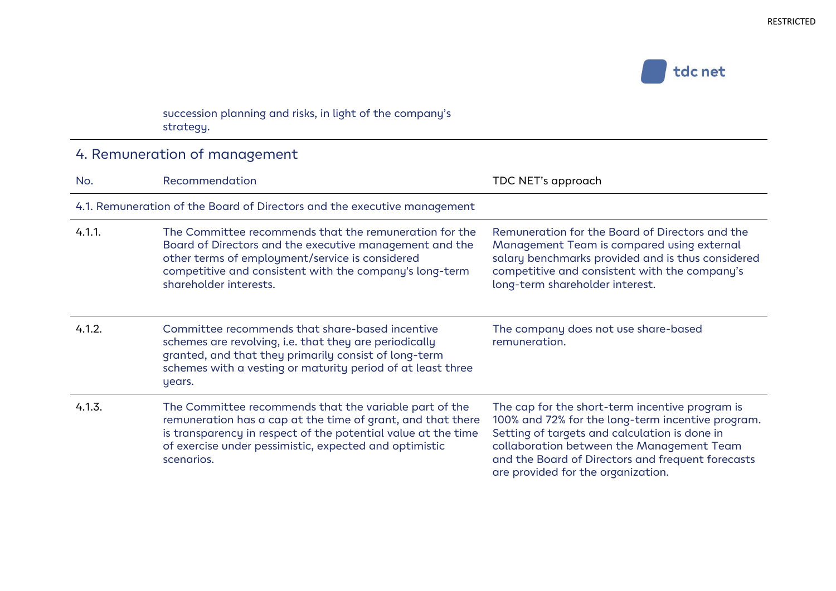

#### succession planning and risks, in light of the company's strategy.

### 4. Remuneration of management

| No.    | Recommendation                                                                                                                                                                                                                                                 | TDC NET's approach                                                                                                                                                                                                                                                                            |
|--------|----------------------------------------------------------------------------------------------------------------------------------------------------------------------------------------------------------------------------------------------------------------|-----------------------------------------------------------------------------------------------------------------------------------------------------------------------------------------------------------------------------------------------------------------------------------------------|
|        | 4.1. Remuneration of the Board of Directors and the executive management                                                                                                                                                                                       |                                                                                                                                                                                                                                                                                               |
| 4.1.1. | The Committee recommends that the remuneration for the<br>Board of Directors and the executive management and the<br>other terms of employment/service is considered<br>competitive and consistent with the company's long-term<br>shareholder interests.      | Remuneration for the Board of Directors and the<br>Management Team is compared using external<br>salary benchmarks provided and is thus considered<br>competitive and consistent with the company's<br>long-term shareholder interest.                                                        |
| 4.1.2. | Committee recommends that share-based incentive<br>schemes are revolving, i.e. that they are periodically<br>granted, and that they primarily consist of long-term<br>schemes with a vesting or maturity period of at least three<br>years.                    | The company does not use share-based<br>remuneration.                                                                                                                                                                                                                                         |
| 4.1.3. | The Committee recommends that the variable part of the<br>remuneration has a cap at the time of grant, and that there<br>is transparency in respect of the potential value at the time<br>of exercise under pessimistic, expected and optimistic<br>scenarios. | The cap for the short-term incentive program is<br>100% and 72% for the long-term incentive program.<br>Setting of targets and calculation is done in<br>collaboration between the Management Team<br>and the Board of Directors and frequent forecasts<br>are provided for the organization. |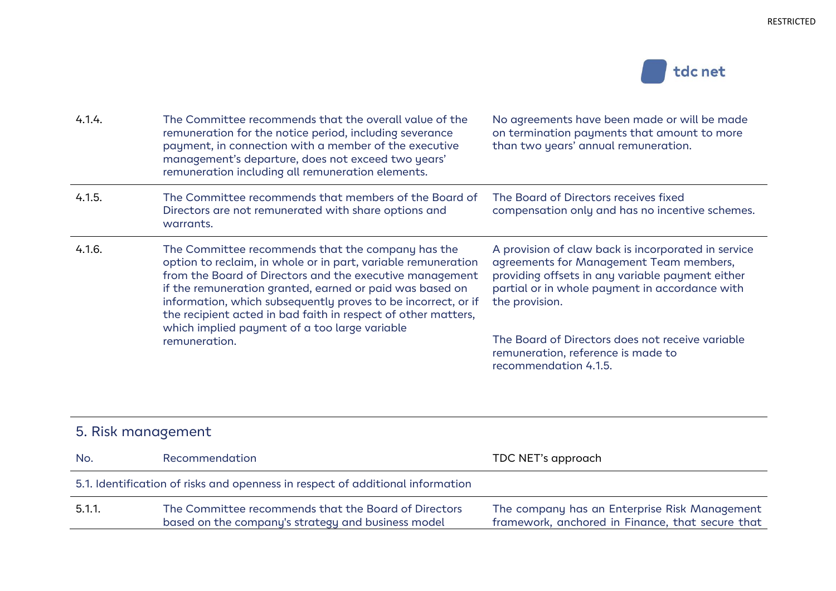

| 4.1.4. | The Committee recommends that the overall value of the<br>remuneration for the notice period, including severance<br>payment, in connection with a member of the executive<br>management's departure, does not exceed two years'<br>remuneration including all remuneration elements.                                                                                                                                         | No agreements have been made or will be made<br>on termination payments that amount to more<br>than two years' annual remuneration.                                                                                    |
|--------|-------------------------------------------------------------------------------------------------------------------------------------------------------------------------------------------------------------------------------------------------------------------------------------------------------------------------------------------------------------------------------------------------------------------------------|------------------------------------------------------------------------------------------------------------------------------------------------------------------------------------------------------------------------|
| 4.1.5. | The Committee recommends that members of the Board of<br>Directors are not remunerated with share options and<br>warrants.                                                                                                                                                                                                                                                                                                    | The Board of Directors receives fixed<br>compensation only and has no incentive schemes.                                                                                                                               |
| 4.1.6. | The Committee recommends that the company has the<br>option to reclaim, in whole or in part, variable remuneration<br>from the Board of Directors and the executive management<br>if the remuneration granted, earned or paid was based on<br>information, which subsequently proves to be incorrect, or if<br>the recipient acted in bad faith in respect of other matters,<br>which implied payment of a too large variable | A provision of claw back is incorporated in service<br>agreements for Management Team members,<br>providing offsets in any variable payment either<br>partial or in whole payment in accordance with<br>the provision. |
|        | remuneration.                                                                                                                                                                                                                                                                                                                                                                                                                 | The Board of Directors does not receive variable<br>remuneration, reference is made to<br>recommendation 4.1.5.                                                                                                        |

| 5. Risk management |                                                                                                            |                                                                                                   |  |
|--------------------|------------------------------------------------------------------------------------------------------------|---------------------------------------------------------------------------------------------------|--|
| No.                | Recommendation                                                                                             | TDC NET's approach                                                                                |  |
|                    | 5.1. Identification of risks and openness in respect of additional information                             |                                                                                                   |  |
| 5.1.1.             | The Committee recommends that the Board of Directors<br>based on the company's strategy and business model | The company has an Enterprise Risk Management<br>framework, anchored in Finance, that secure that |  |